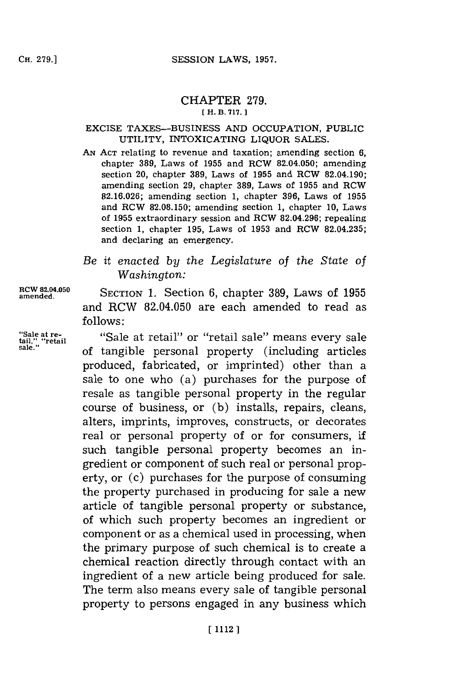#### CHAPTER **279. [H. B. 717. 1**

#### EXCISE **TAXES-BUSINESS AND** OCCUPATION, PUBLIC UTILITY, INTOXICATING LIQUOR **SALES.**

- **AN ACT** relating to revenue and taxation; amending section **6,** chapter **389,** Laws of **1955** and RCW 82.04.050; amending section 20, chapter **389,** Laws of **1955** and RCW 82.04.190; amending section **29,** chapter **389,** Laws of **1955** and RCW **82.16.026;** amending section **1,** chapter **396,** Laws of **1955** and RCW **82.08.150;** amending section **1,** chapter **10,** Laws of **1955** extraordinary session and RCW **82.04.296;** repealing section **1,** chapter **195,** Laws of **1953** and RCW **82.04.235;** and declaring an emergency.
- *Be it enacted by the Legislature of the State of Washington:*

**RCW 82.04.050**<br>amended. SECTION 1. Section 6, chapter 389, Laws of 1955 and RCW 82.04.050 are each amended to read as **follows:**

**"Sale at re-** "Sale at retail" or "retail sale" means every sale **tail," "retail sale."** of tangible personal property (including articles produced, fabricated, or imprinted) other than a sale to one who (a) purchases for the purpose of resale as tangible personal property in the regular course of business, or **(b)** installs, repairs, cleans, alters, imprints, improves, constructs, or decorates real or personal property of or for consumers, if such tangible personal property becomes an ingredient or component of such real or personal property, or (c) purchases for the purpose of consuming the property purchased in producing for sale a new article of tangible personal property or substance, of which such property becomes an ingredient or component or as a chemical used in processing, when the primary purpose of such chemical is to create a chemical reaction directly through contact with an ingredient of a new article being produced for sale. The term also means every sale of tangible personal property to persons engaged in any business which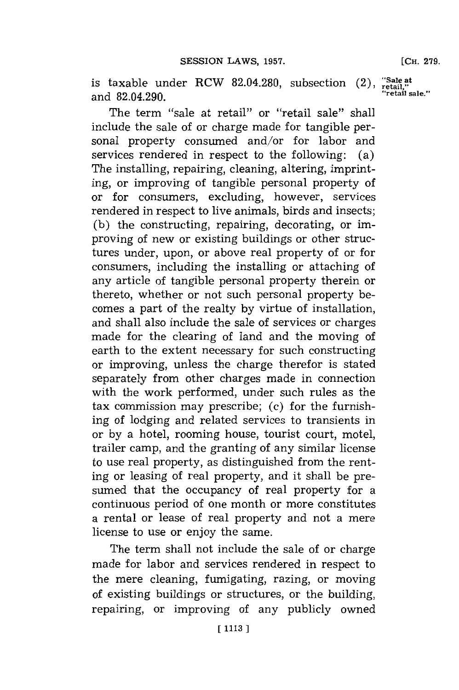is taxable under RCW 82.04.280, subsection  $(2)$ , "Sale at retail,"  $\sum_{\text{retail}}$  sale." and 82.04.290.

The term "sale at retail" or "retail sale" shall include the sale of or charge made for tangible personal property consumed and/or for labor and services rendered in respect to the following: (a) The installing, repairing, cleaning, altering, imprinting, or improving of tangible personal property of or for consumers, excluding, however, services rendered in respect to live animals, birds and insects; **(b)** the constructing, repairing, decorating, or improving of new or existing buildings or other structures under, upon, or above real property of or for consumers, including the installing or attaching of any article of tangible personal property therein or thereto, whether or not such personal property becomes a part of the realty **by** virtue of installation, and shall also include the sale of services or charges made for the clearing of land and the moving of earth to the extent necessary for such constructing or improving, unless the charge therefor is stated separately from other charges made in connection with the work performed, under such rules as the tax commission may prescribe; (c) for the furnishing of lodging and related services to transients in or **by** a hotel, rooming house, tourist court, motel, trailer camp, and the granting of any similar license to use real property, as distinguished from the renting or leasing of real property, and it shall be presumed that the occupancy of real property for a continuous period of one month or more constitutes a rental or lease of real property and not a mere license to use or enjoy the same.

The term shall not include the sale of or charge made for labor and services rendered in respect to the mere cleaning, fumigating, razing, or moving of existing buildings or structures, or the building, repairing, or improving of any publicly owned **[CH. 279.**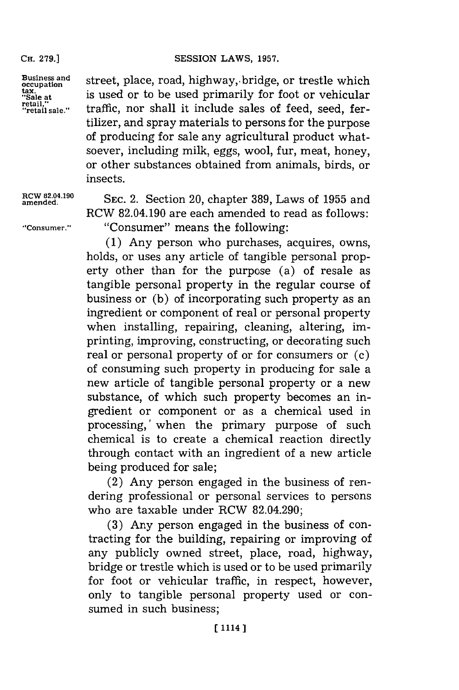**CH. 279.]**

Business and<br>
occupation<br>
is used or to be used primarily for foot or vehicular<br>
"Sale at is used or to be used primarily for foot or vehicular tax.<br>"Sale at **is used or to be used primarily for foot or vehicular**<br>retail," **in troffic por shall** it include relate of face and it. retail," traffic, nor shall it include sales of feed, seed, fertilizer, and spray materials to persons for the purpose of producing for sale any agricultural product whatsoever, including milk, eggs, wool, fur, meat, honey, or other substances obtained from animals, birds, or insects.

RCW 82.04.190 **SEC. 2.** Section 20, chapter 389, Laws of 1955 and RCW 82.04.190 are each amended to read as follows: **"Consumer."** "Consumer" means the following:

> **(1)** Any person who purchases, acquires, owns, holds, or uses any article of tangible personal property other than for the purpose (a) of resale as tangible personal property in the regular course of business or **(b)** of incorporating such property as an ingredient or component of real or personal property when installing, repairing, cleaning, altering, imprinting, improving, constructing, or decorating such real or personal property of or for consumers or (c) of consuming such property in producing for sale a new article of tangible personal property or a new substance, of which such property becomes an ingredient or component or as a chemical used in processing,' when the primary purpose of such chemical is to create a chemical reaction directly through contact with an ingredient of a new article being produced for sale;

> (2) Any person engaged in the business of rendering professional or personal services to persons who are taxable under RCW 82.04.290;

> **(3)** Any person engaged in the business of contracting for the building, repairing or improving of any publicly owned street, place, road, highway, bridge or trestle which is used or to be used primarily for foot or vehicular traffic, in respect, however, only to tangible personal property used or consumed in such business;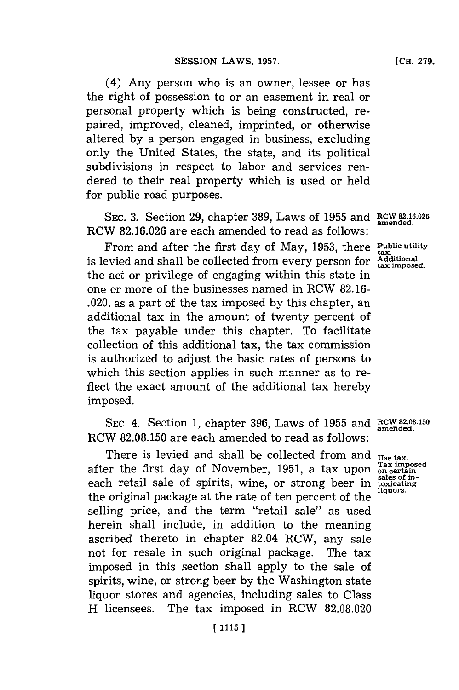(4) Any person who is an owner, lessee or has the right of possession to or an easement in real or personal property which is being constructed, repaired, improved, cleaned, imprinted, or otherwise altered **by** a person engaged in business, excluding only the United States, the state, and its political subdivisions in respect to labor and services rendered to their real property which is used or held for public road purposes.

SEC. **3.** Section **29,** chapter **389,** Laws of **1955** and **RCW 82-16.026** RCW **82.16.026** are each amended to read as follows:

From and after the first day of May, 1953, there Public utility  $\frac{1}{100}$  is levied and shall be collected from every person for  $\frac{1}{4}$  Additional the act or privilege of engaging within this state in one or more of the businesses named in RCW **82.16-** .020, as a part of the tax imposed **by** this chapter, an additional tax in the amount of twenty percent of the tax payable under this chapter. To facilitate collection of this additional tax, the tax commission is authorized to adjust the basic rates of persons to which this section applies in such manner as to reflect the exact amount of the additional tax hereby imposed.

SEC. 4. Section 1, chapter 396, Laws of 1955 and **RCW 82.08.150 amended**. RCW **82.08.150** are each amended to read as **follows:**

There is levied and shall be collected from and **Use tax.**<br>In the first day of November 1951, a tax upon <sup>Tax imposed</sup> after the first day of November, 1951, a tax upon **on certain**<br>sales of ineach retail sale of spirits, wine, or strong beer in **toxicating** the original package at the rate of ten percent of the selling price, and the term "retail sale" as used herein shall include, in addition to the meaning ascribed thereto in chapter 82.04 RCW, any sale not for resale in such original package. The tax imposed in this section shall apply to the sale of spirits, wine, or strong beer **by** the Washington state liquor stores and agencies, including sales to Class H licensees. The tax imposed in RCW **82.08.020**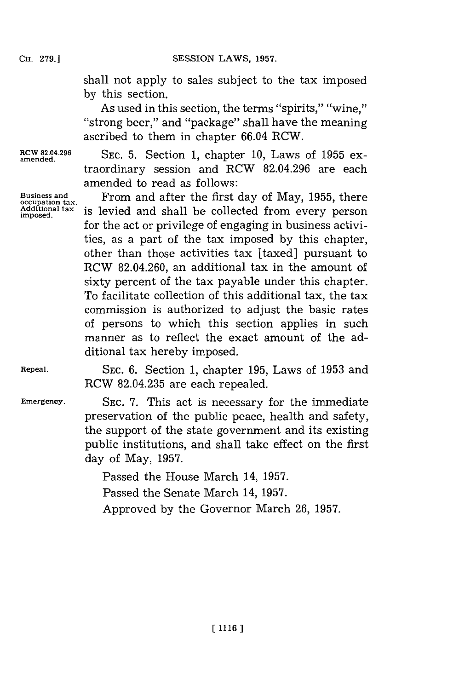shall not apply to sales subject to the tax imposed **by** this section.

As used in this section, the terms "spirits," "wine," "strong beer," and "package" shall have the meaning ascribed to them in chapter 66.04 RCW.

RCW 82.04.296 **SEC.** 5. Section 1, chapter 10, Laws of 1955 ex-<br>amended. traordinary session and RCW **82.04.296** are each amended to read as follows:

**Business and** From and after the first day of May, **1955,** there **occupation tax.** Additional tax is levied and shall be collected from every person for the act or privilege of engaging in business activities, as a part of the tax imposed **by** this chapter, other than those activities tax [taxed] pursuant to RCW 82.04.260, an additional tax in the amount of sixty percent of the tax payable under this chapter. To facilitate collection of this additional tax, the tax commission is authorized to adjust the basic rates of persons to which this section applies in such manner as to reflect the exact amount of the additional tax hereby imposed.

**Repeal. SEC. 6.** Section **1,** chapter **195,** Laws of **1953** and RCW **82.04.235** are each repealed.

**Emergency. SEC. 7.** This act is necessary for the immediate preservation of the public peace, health and safety, the support of the state government and its existing public institutions, and shall take effect on the first day of May, **1957.**

> Passed the House March 14, **1957.** Passed the Senate March 14, **1957.** Approved **by** the Governor March **26, 1957.**

**CH. 279.]**